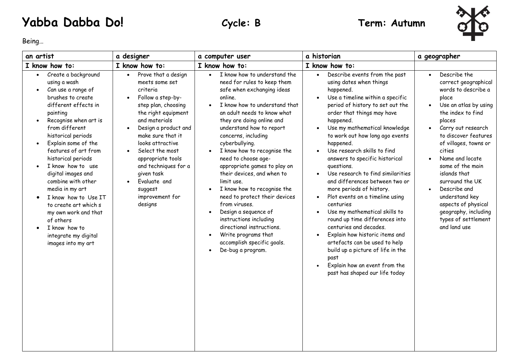## **Yabba Dabba Do! Cycle: B Term: Autumn**



Being…

| an artist                                                                                                                                                                                                                                                                                                                                                                                                                                                                                                                                | a designer                                                                                                                                                                                                                                                                                                                                                                                        | a computer user                                                                                                                                                                                                                                                                                                                                                                                                                                                                                                                                                                                                                                                              | a historian                                                                                                                                                                                                                                                                                                                                                                                                                                                                                                                                                                                                                                                                                                                                                                                                                                                               | a geographer                                                                                                                                                                                                                                                                                                                                                                                                                              |
|------------------------------------------------------------------------------------------------------------------------------------------------------------------------------------------------------------------------------------------------------------------------------------------------------------------------------------------------------------------------------------------------------------------------------------------------------------------------------------------------------------------------------------------|---------------------------------------------------------------------------------------------------------------------------------------------------------------------------------------------------------------------------------------------------------------------------------------------------------------------------------------------------------------------------------------------------|------------------------------------------------------------------------------------------------------------------------------------------------------------------------------------------------------------------------------------------------------------------------------------------------------------------------------------------------------------------------------------------------------------------------------------------------------------------------------------------------------------------------------------------------------------------------------------------------------------------------------------------------------------------------------|---------------------------------------------------------------------------------------------------------------------------------------------------------------------------------------------------------------------------------------------------------------------------------------------------------------------------------------------------------------------------------------------------------------------------------------------------------------------------------------------------------------------------------------------------------------------------------------------------------------------------------------------------------------------------------------------------------------------------------------------------------------------------------------------------------------------------------------------------------------------------|-------------------------------------------------------------------------------------------------------------------------------------------------------------------------------------------------------------------------------------------------------------------------------------------------------------------------------------------------------------------------------------------------------------------------------------------|
| I know how to:                                                                                                                                                                                                                                                                                                                                                                                                                                                                                                                           | I know how to:                                                                                                                                                                                                                                                                                                                                                                                    | I know how to:                                                                                                                                                                                                                                                                                                                                                                                                                                                                                                                                                                                                                                                               | I know how to:                                                                                                                                                                                                                                                                                                                                                                                                                                                                                                                                                                                                                                                                                                                                                                                                                                                            |                                                                                                                                                                                                                                                                                                                                                                                                                                           |
| Create a background<br>using a wash<br>Can use a range of<br>brushes to create<br>different effects in<br>painting<br>Recognise when art is<br>$\bullet$<br>from different<br>historical periods<br>Explain some of the<br>$\bullet$<br>features of art from<br>historical periods<br>I know how to use<br>digital images and<br>combine with other<br>media in my art<br>I know how to Use IT<br>to create art which s<br>my own work and that<br>of others<br>I know how to<br>$\bullet$<br>integrate my digital<br>images into my art | Prove that a design<br>$\bullet$<br>meets some set<br>criteria<br>Follow a step-by-<br>step plan, choosing<br>the right equipment<br>and materials<br>Design a product and<br>$\bullet$<br>make sure that it<br>looks attractive<br>Select the most<br>$\bullet$<br>appropriate tools<br>and techniques for a<br>given task<br>Evaluate and<br>$\bullet$<br>suggest<br>improvement for<br>designs | I know how to understand the<br>$\bullet$<br>need for rules to keep them<br>safe when exchanging ideas<br>online.<br>I know how to understand that<br>an adult needs to know what<br>they are doing online and<br>understand how to report<br>concerns, including<br>cyberbullying.<br>I know how to recognise the<br>need to choose age-<br>appropriate games to play on<br>their devices, and when to<br>limit use.<br>I know how to recognise the<br>need to protect their devices<br>from viruses.<br>Design a sequence of<br>instructions including<br>directional instructions.<br>Write programs that<br>$\bullet$<br>accomplish specific goals.<br>De-bug a program. | Describe events from the past<br>$\bullet$<br>using dates when things<br>happened.<br>Use a timeline within a specific<br>$\bullet$<br>period of history to set out the<br>order that things may have<br>happened.<br>Use my mathematical knowledge<br>$\bullet$<br>to work out how long ago events<br>happened.<br>Use research skills to find<br>answers to specific historical<br>questions.<br>Use research to find similarities<br>and differences between two or<br>more periods of history.<br>Plot events on a timeline using<br>$\bullet$<br>centuries<br>Use my mathematical skills to<br>$\bullet$<br>round up time differences into<br>centuries and decades.<br>Explain how historic items and<br>$\bullet$<br>artefacts can be used to help<br>build up a picture of life in the<br>past<br>Explain how an event from the<br>past has shaped our life today | Describe the<br>correct geographical<br>words to describe a<br>place<br>Use an atlas by using<br>$\bullet$<br>the index to find<br>places<br>Carry out research<br>$\bullet$<br>to discover features<br>of villages, towns or<br>cities<br>Name and locate<br>some of the main<br>islands that<br>surround the UK<br>Describe and<br>understand key<br>aspects of physical<br>geography, including<br>types of settlement<br>and land use |